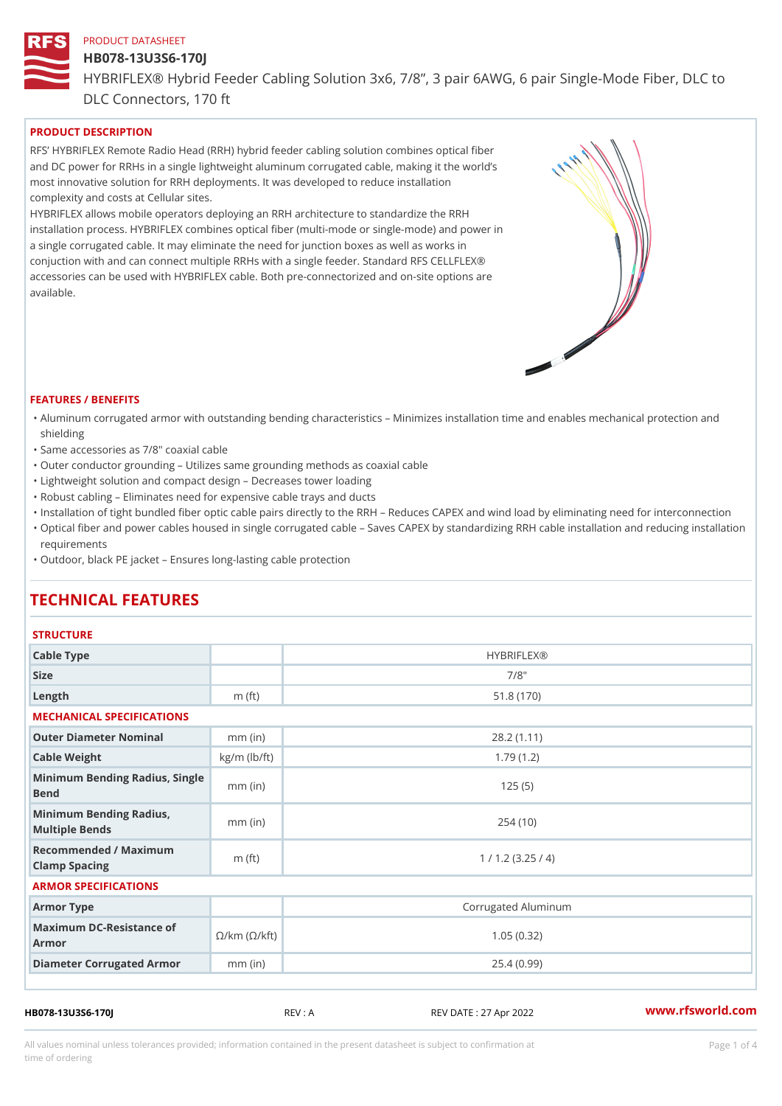## HB078-13U3S6-170J

HYBRIFLEX® Hybrid Feeder Cabling Solution 3x6, 7/8, 3 pair 6AWG, 6 DLC Connectors, 170 ft

# PRODUCT DESCRIPTION

RFS HYBRIFLEX Remote Radio Head (RRH) hybrid feeder cabling solution combines optical fibe and DC power for RRHs in a single lightweight aluminum corrugated cable, making it the world s most innovative solution for RRH deployments. It was developed to reduce installation complexity and costs at Cellular sites.

HYBRIFLEX allows mobile operators deploying an RRH architecture to standardize the RRH installation process. HYBRIFLEX combines optical fiber (multi-mode or single-mode) and power in a single corrugated cable. It may eliminate the need for junction boxes as well as works in conjuction with and can connect multiple RRHs with a single feeder. Standard RFS CELLFLEX® accessories can be used with HYBRIFLEX cable. Both pre-connectorized and on-site options are available.

#### FEATURES / BENEFITS

- "Aluminum corrugated armor with outstanding bending characteristics Minimizes installation time a shielding
- "Same accessories as 7/8" coaxial cable
- "Outer conductor grounding Utilizes same grounding methods as coaxial cable
- "Lightweight solution and compact design Decreases tower loading
- "Robust cabling Eliminates need for expensive cable trays and ducts
- "Installation of tight bundled fiber optic cable pairs directly to the RRH and belogies CAPEX and wind  $\theta$
- "Optical fiber and power cables housed in single corrugated cable  $\,$  Saves CAPEX by standardiz $\,$ ng  $\,$ requirements
- "Outdoor, black PE jacket Ensures long-lasting cable protection

# TECHNICAL FEATURES

#### **STRUCTURE**

| Cable Type                                                             |                    | <b>HYBRIFLEX®</b>   |  |  |  |
|------------------------------------------------------------------------|--------------------|---------------------|--|--|--|
| Size                                                                   |                    | $7/8$ "             |  |  |  |
| Length                                                                 | m $(ft)$           | 51.8(170)           |  |  |  |
| MECHANICAL SPECIFICATIONS                                              |                    |                     |  |  |  |
| Outer Diameter Nominal                                                 | $mm$ (in)          | 28.2(1.11)          |  |  |  |
| Cable Weight                                                           | $kg/m$ ( $lb/ft$ ) | 1.79(1.2)           |  |  |  |
| Minimum Bending Radius, Single<br>Bend                                 |                    | 125(5)              |  |  |  |
| Minimum Bending Radius,<br>Multiple Bends                              | $mm$ (in)          | 254(10)             |  |  |  |
| Recommended / Maximum<br>Clamp Spacing                                 | m $(ft)$           | 1 / 1.2 (3.25 / 4)  |  |  |  |
| ARMOR SPECIFICATIONS                                                   |                    |                     |  |  |  |
| Armor Type                                                             |                    | Corrugated Aluminum |  |  |  |
| Maximum DC-Resistance $\mathcal{S}/k$ m ( $\mathcal{O}/k$ ft)<br>Armor |                    | 1.05(0.32)          |  |  |  |
| Diameter Corrugated Armomm (in)                                        |                    | 25.4(0.99)          |  |  |  |
|                                                                        |                    |                     |  |  |  |

HB078-13U3S6-170J REV : A REV DATE : 27 Apr 2022 [www.](https://www.rfsworld.com)rfsworld.com

All values nominal unless tolerances provided; information contained in the present datasheet is subject to Pcapgeligim attio time of ordering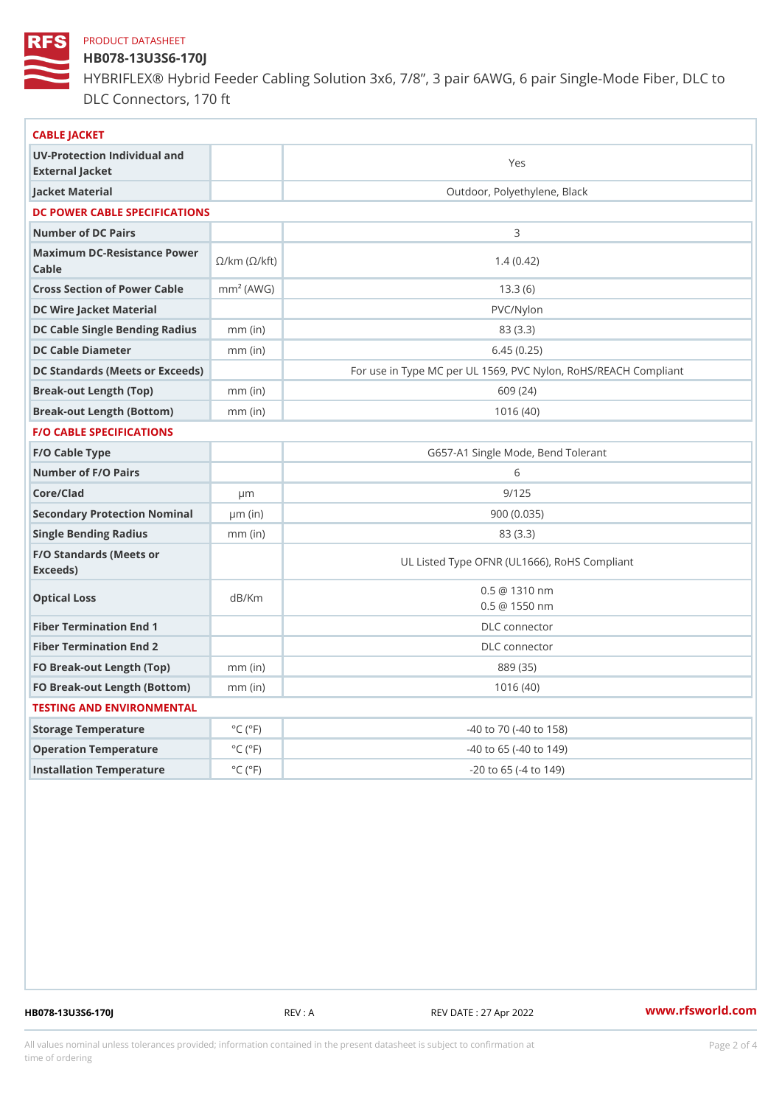## HB078-13U3S6-170J

HYBRIFLEX® Hybrid Feeder Cabling Solution 3x6, 7/8, 3 pair 6AWG, 6 DLC Connectors, 170 ft

| CABLE JACKET                                                                                                                    |                             |                                                      |
|---------------------------------------------------------------------------------------------------------------------------------|-----------------------------|------------------------------------------------------|
| UV-Protection Individual and<br>External Jacket                                                                                 |                             | Yes                                                  |
| Jacket Material                                                                                                                 |                             | Outdoor, Polyethylene, Black                         |
| DC POWER CABLE SPECIFICATIONS                                                                                                   |                             |                                                      |
| Number of DC Pairs                                                                                                              |                             | 3                                                    |
| Maximum DC-Resistance $\bigotimes_{k=m}^{\infty}$ ( $\bigotimes_{k=m}^{\infty}$ /km ( $\bigotimes_{k=m}^{\infty}$ )<br>$C$ able |                             | 1.4(0.42)                                            |
| Cross Section of Power Cnamble (AWG)                                                                                            |                             | 13.3(6)                                              |
| DC Wire Jacket Material                                                                                                         |                             | $PVC/Ny$ lon                                         |
| DC Cable Single Bending Rhandi(uish)                                                                                            |                             | 83 (3.3)                                             |
| DC Cable Diameter                                                                                                               | $mm$ (in)                   | 6.45(0.25)                                           |
| DC Standards (Meets or Exceeds)                                                                                                 |                             | For use in Type MC per UL 1569, PVC Nylon, RoHS/REAC |
| Break-out Length (Top)                                                                                                          | $mm$ (in)                   | 609 (24)                                             |
| Break-out Length (Bottcm)mm (in)                                                                                                |                             | 1016(40)                                             |
| F/O CABLE SPECIFICATIONS                                                                                                        |                             |                                                      |
| F/O Cable Type                                                                                                                  |                             | G657-A1 Single Mode, Bend Tolerant                   |
| Number of F/O Pairs                                                                                                             |                             | 6                                                    |
| Core/Clad                                                                                                                       | $\mu$ m                     | 9/125                                                |
| Secondary Protection Nominal(in)                                                                                                |                             | 900(0.035)                                           |
| Single Bending Radius                                                                                                           | $mm$ (in)                   | 83 (3.3)                                             |
| F/O Standards (Meets or<br>Exceeds)                                                                                             |                             | UL Listed Type OFNR (UL1666), RoHS Compliant         |
| Optical Loss                                                                                                                    | dB/Km                       | $0.5 \t@ 1310 nm$<br>$0.5 \ @ \ 1550 \ nm$           |
| Fiber Termination End                                                                                                           |                             | DLC connector                                        |
| Fiber Termination End 2                                                                                                         |                             | DLC connector                                        |
| FO Break-out Length (Top)mm (in)                                                                                                |                             | 889 (35)                                             |
| FO Break-out Length (Bottomm) (in)                                                                                              |                             | 1016(40)                                             |
| TESTING AND ENVIRONMENTAL                                                                                                       |                             |                                                      |
| Storage Temperature                                                                                                             | $^{\circ}$ C ( $^{\circ}$ F | -40 to 70 (-40 to 158)                               |
| Operation Temperature                                                                                                           | $^{\circ}$ C ( $^{\circ}$ F | $-40$ to 65 ( $-40$ to 149)                          |
| Installation Temperature                                                                                                        | $^{\circ}$ C ( $^{\circ}$ F | $-20$ to $65$ ( $-4$ to $149$ )                      |
|                                                                                                                                 |                             |                                                      |

HB078-13U3S6-170J REV : A REV DATE : 27 Apr 2022 [www.](https://www.rfsworld.com)rfsworld.com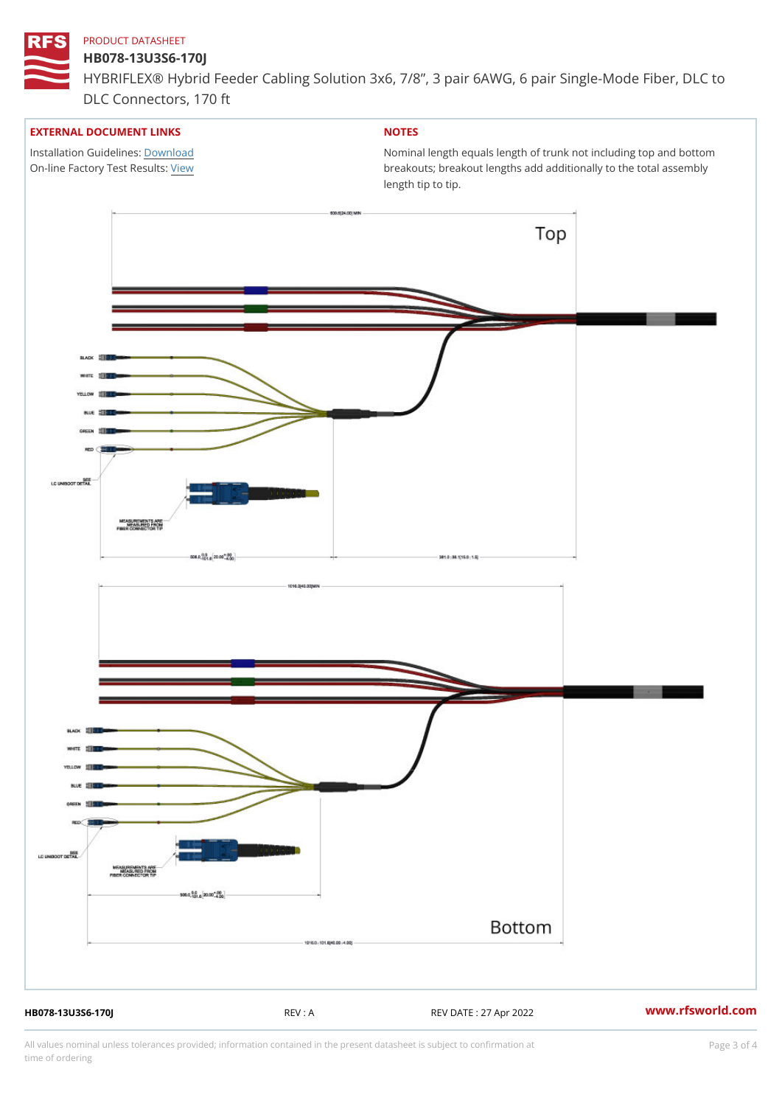# HB078-13U3S6-170J

HYBRIFLEX® Hybrid Feeder Cabling Solution 3x6, 7/8, 3 pair 6AWG, 6 DLC Connectors, 170 ft

## EXTERNAL DOCUMENT LINKS

Installation Guidelwinessad On-line Factory Te[s](https://www.rfsworld.com/pictures/userfiles/programs/AAST Latest Version.zip)/teRvesults:

# NOTES

Nominal length equals length of trunk not including t breakouts; breakout lengths add additionally to the t length tip to tip.

HB078-13U3S6-170J REV : A REV DATE : 27 Apr 2022 [www.](https://www.rfsworld.com)rfsworld.com

All values nominal unless tolerances provided; information contained in the present datasheet is subject to Pcapgeling that i time of ordering